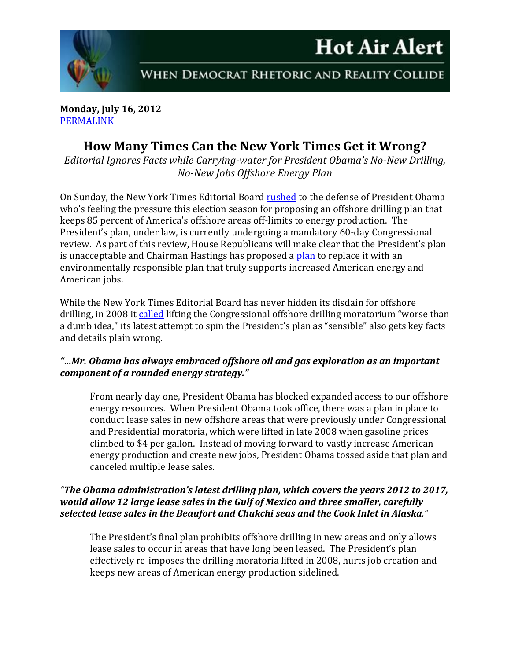

**Monday, July 16, 2012** [PERMALINK](http://naturalresources.house.gov/News/DocumentSingle.aspx?DocumentID=303200)

# **How Many Times Can the New York Times Get it Wrong?**

*Editorial Ignores Facts while Carrying-water for President Obama's No-New Drilling, No-New Jobs Offshore Energy Plan*

On Sunday, the New York Times Editorial Board [rushed](http://www.nytimes.com/2012/07/15/opinion/sunday/drilling-strategies-sensible-and-fantastical.html?partner=rssnyt&emc=rss) to the defense of President Obama who's feeling the pressure this election season for proposing an offshore drilling plan that keeps 85 percent of America's offshore areas off-limits to energy production. The President's plan, under law, is currently undergoing a mandatory 60-day Congressional review. As part of this review, House Republicans will make clear that the President's plan is unacceptable and Chairman Hastings has proposed a [plan](http://naturalresources.house.gov/News/DocumentSingle.aspx?DocumentID=302384) to replace it with an environmentally responsible plan that truly supports increased American energy and American jobs.

While the New York Times Editorial Board has never hidden its disdain for offshore drilling, in 2008 it [called](http://www.nytimes.com/2008/06/19/opinion/19thu1.html) lifting the Congressional offshore drilling moratorium "worse than a dumb idea," its latest attempt to spin the President's plan as "sensible" also gets key facts and details plain wrong.

## *"…Mr. Obama has always embraced offshore oil and gas exploration as an important component of a rounded energy strategy."*

From nearly day one, President Obama has blocked expanded access to our offshore energy resources. When President Obama took office, there was a plan in place to conduct lease sales in new offshore areas that were previously under Congressional and Presidential moratoria, which were lifted in late 2008 when gasoline prices climbed to \$4 per gallon. Instead of moving forward to vastly increase American energy production and create new jobs, President Obama tossed aside that plan and canceled multiple lease sales.

## *"The Obama administration's latest drilling plan, which covers the years 2012 to 2017, would allow 12 large lease sales in the Gulf of Mexico and three smaller, carefully selected lease sales in the Beaufort and Chukchi seas and the Cook Inlet in Alaska."*

The President's final plan prohibits offshore drilling in new areas and only allows lease sales to occur in areas that have long been leased. The President's plan effectively re-imposes the drilling moratoria lifted in 2008, hurts job creation and keeps new areas of American energy production sidelined.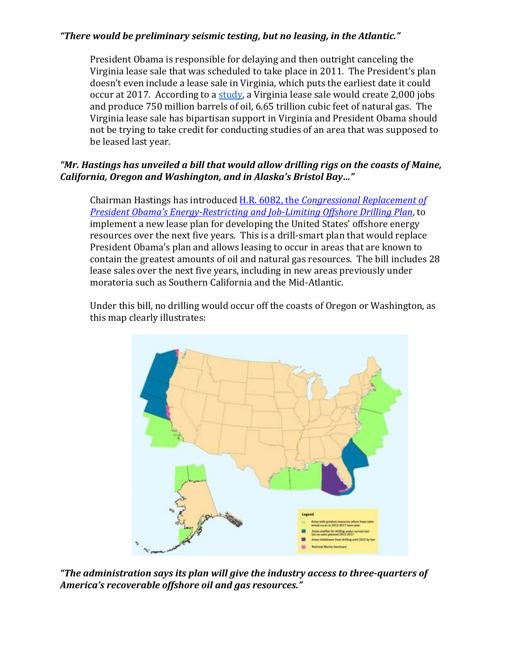## *"There would be preliminary seismic testing, but no leasing, in the Atlantic."*

President Obama is responsible for delaying and then outright canceling the Virginia lease sale that was scheduled to take place in 2011. The President's plan doesn't even include a lease sale in Virginia, which puts the earliest date it could occur at 2017. According to a [study,](http://naturalresources.house.gov/UploadedFiles/SEAOCSReportOct2010.pdf) a Virginia lease sale would create 2,000 jobs and produce 750 million barrels of oil, 6.65 trillion cubic feet of natural gas. The Virginia lease sale has bipartisan support in Virginia and President Obama should not be trying to take credit for conducting studies of an area that was supposed to be leased last year.

## *"Mr. Hastings has unveiled a bill that would allow drilling rigs on the coasts of Maine, California, Oregon and Washington, and in Alaska's Bristol Bay…"*

Chairman Hastings has introduced H.R. 6082, the *[Congressional Replacement of](http://thomas.loc.gov/home/gpoxmlc112/h6082_ih.xml)  President Obama's Energy[-Restricting and Job-Limiting Offshore Drilling Plan](http://thomas.loc.gov/home/gpoxmlc112/h6082_ih.xml)*, to implement a new lease plan for developing the United States' offshore energy resources over the next five years. This is a drill-smart plan that would replace President Obama's plan and allows leasing to occur in areas that are known to contain the greatest amounts of oil and natural gas resources. The bill includes 28 lease sales over the next five years, including in new areas previously under moratoria such as Southern California and the Mid-Atlantic.

Under this bill, no drilling would occur off the coasts of Oregon or Washington, as this map clearly illustrates:



*"The administration says its plan will give the industry access to three-quarters of America's recoverable offshore oil and gas resources."*